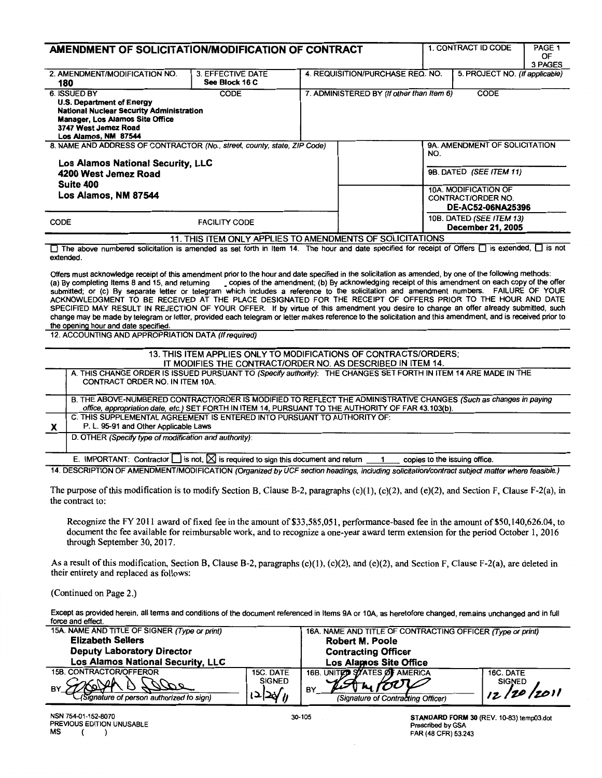|                                                                                                                                                                                                                                                                                                                                                                                                                                                                                                                                                                                                                                                                                                                                                                                                                                                                                                                                                                                                                                                                                                                                                              | AMENDMENT OF SOLICITATION/MODIFICATION OF CONTRACT                                                                                                                                                                       |                                                             |                                  |                                           |                                                      | 1. CONTRACT ID CODE            | PAGE 1<br>0F<br>3 PAGES |
|--------------------------------------------------------------------------------------------------------------------------------------------------------------------------------------------------------------------------------------------------------------------------------------------------------------------------------------------------------------------------------------------------------------------------------------------------------------------------------------------------------------------------------------------------------------------------------------------------------------------------------------------------------------------------------------------------------------------------------------------------------------------------------------------------------------------------------------------------------------------------------------------------------------------------------------------------------------------------------------------------------------------------------------------------------------------------------------------------------------------------------------------------------------|--------------------------------------------------------------------------------------------------------------------------------------------------------------------------------------------------------------------------|-------------------------------------------------------------|----------------------------------|-------------------------------------------|------------------------------------------------------|--------------------------------|-------------------------|
| 180                                                                                                                                                                                                                                                                                                                                                                                                                                                                                                                                                                                                                                                                                                                                                                                                                                                                                                                                                                                                                                                                                                                                                          | 2. AMENDMENT/MODIFICATION NO.                                                                                                                                                                                            | 3. EFFECTIVE DATE<br>See Block 16 C                         | 4. REQUISITION/PURCHASE REQ. NO. |                                           |                                                      | 5. PROJECT NO. (If applicable) |                         |
|                                                                                                                                                                                                                                                                                                                                                                                                                                                                                                                                                                                                                                                                                                                                                                                                                                                                                                                                                                                                                                                                                                                                                              | <b>6. ISSUED BY</b>                                                                                                                                                                                                      | <b>CODE</b>                                                 |                                  | 7. ADMINISTERED BY (If other than Item 6) | <b>CODE</b>                                          |                                |                         |
| U.S. Department of Energy<br><b>National Nuclear Security Administration</b><br><b>Manager, Los Alamos Site Office</b><br>3747 West Jemez Road<br>Los Alamos, NM 87544                                                                                                                                                                                                                                                                                                                                                                                                                                                                                                                                                                                                                                                                                                                                                                                                                                                                                                                                                                                       |                                                                                                                                                                                                                          |                                                             |                                  |                                           |                                                      |                                |                         |
| 8. NAME AND ADDRESS OF CONTRACTOR (No., street, county, state, ZIP Code)                                                                                                                                                                                                                                                                                                                                                                                                                                                                                                                                                                                                                                                                                                                                                                                                                                                                                                                                                                                                                                                                                     |                                                                                                                                                                                                                          |                                                             |                                  | 9A. AMENDMENT OF SOLICITATION<br>NO.      |                                                      |                                |                         |
|                                                                                                                                                                                                                                                                                                                                                                                                                                                                                                                                                                                                                                                                                                                                                                                                                                                                                                                                                                                                                                                                                                                                                              | Los Alamos National Security, LLC                                                                                                                                                                                        |                                                             |                                  |                                           |                                                      |                                |                         |
|                                                                                                                                                                                                                                                                                                                                                                                                                                                                                                                                                                                                                                                                                                                                                                                                                                                                                                                                                                                                                                                                                                                                                              | 4200 West Jemez Road                                                                                                                                                                                                     |                                                             |                                  |                                           | 9B. DATED (SEE ITEM 11)                              |                                |                         |
| Suite 400                                                                                                                                                                                                                                                                                                                                                                                                                                                                                                                                                                                                                                                                                                                                                                                                                                                                                                                                                                                                                                                                                                                                                    |                                                                                                                                                                                                                          |                                                             |                                  |                                           | 10A. MODIFICATION OF                                 |                                |                         |
| Los Alamos, NM 87544                                                                                                                                                                                                                                                                                                                                                                                                                                                                                                                                                                                                                                                                                                                                                                                                                                                                                                                                                                                                                                                                                                                                         |                                                                                                                                                                                                                          |                                                             |                                  |                                           | CONTRACT/ORDER NO.<br><b>DE-AC52-06NA25396</b>       |                                |                         |
| <b>FACILITY CODE</b><br><b>CODE</b>                                                                                                                                                                                                                                                                                                                                                                                                                                                                                                                                                                                                                                                                                                                                                                                                                                                                                                                                                                                                                                                                                                                          |                                                                                                                                                                                                                          |                                                             |                                  |                                           | 10B. DATED (SEE ITEM 13)<br><b>December 21, 2005</b> |                                |                         |
|                                                                                                                                                                                                                                                                                                                                                                                                                                                                                                                                                                                                                                                                                                                                                                                                                                                                                                                                                                                                                                                                                                                                                              |                                                                                                                                                                                                                          | 11. THIS ITEM ONLY APPLIES TO AMENDMENTS OF SOLICITATIONS   |                                  |                                           |                                                      |                                |                         |
| $\Box$ The above numbered solicitation is amended as set forth in Item 14. The hour and date specified for receipt of Offers $\Box$ is extended, $\Box$ is not<br>extended.<br>Offers must acknowledge receipt of this amendment prior to the hour and date specified in the solicitation as amended, by one of the following methods:<br>(a) By completing Items 8 and 15, and returning _ copies of the amendment; (b) By acknowledging receipt of this amendment on each copy of the offer<br>submitted; or (c) By separate letter or telegram which includes a reference to the solicitation and amendment numbers. FAILURE OF YOUR<br>ACKNOWLEDGMENT TO BE RECEIVED AT THE PLACE DESIGNATED FOR THE RECEIPT OF OFFERS PRIOR TO THE HOUR AND DATE<br>SPECIFIED MAY RESULT IN REJECTION OF YOUR OFFER. If by virtue of this amendment you desire to change an offer already submitted, such<br>change may be made by telegram or letter, provided each telegram or letter makes reference to the solicitation and this amendment, and is received prior to<br>the opening hour and date specified.<br>12. ACCOUNTING AND APPROPRIATION DATA (If required) |                                                                                                                                                                                                                          |                                                             |                                  |                                           |                                                      |                                |                         |
| 13. THIS ITEM APPLIES ONLY TO MODIFICATIONS OF CONTRACTS/ORDERS:                                                                                                                                                                                                                                                                                                                                                                                                                                                                                                                                                                                                                                                                                                                                                                                                                                                                                                                                                                                                                                                                                             |                                                                                                                                                                                                                          |                                                             |                                  |                                           |                                                      |                                |                         |
|                                                                                                                                                                                                                                                                                                                                                                                                                                                                                                                                                                                                                                                                                                                                                                                                                                                                                                                                                                                                                                                                                                                                                              |                                                                                                                                                                                                                          | IT MODIFIES THE CONTRACT/ORDER NO. AS DESCRIBED IN ITEM 14. |                                  |                                           |                                                      |                                |                         |
| A. THIS CHANGE ORDER IS ISSUED PURSUANT TO (Specify authority): THE CHANGES SET FORTH IN ITEM 14 ARE MADE IN THE<br>CONTRACT ORDER NO. IN ITEM 10A.                                                                                                                                                                                                                                                                                                                                                                                                                                                                                                                                                                                                                                                                                                                                                                                                                                                                                                                                                                                                          |                                                                                                                                                                                                                          |                                                             |                                  |                                           |                                                      |                                |                         |
|                                                                                                                                                                                                                                                                                                                                                                                                                                                                                                                                                                                                                                                                                                                                                                                                                                                                                                                                                                                                                                                                                                                                                              | B. THE ABOVE-NUMBERED CONTRACT/ORDER IS MODIFIED TO REFLECT THE ADMINISTRATIVE CHANGES (Such as changes in paying<br>office, appropriation date, etc.) SET FORTH IN ITEM 14, PURSUANT TO THE AUTHORITY OF FAR 43.103(b). |                                                             |                                  |                                           |                                                      |                                |                         |
|                                                                                                                                                                                                                                                                                                                                                                                                                                                                                                                                                                                                                                                                                                                                                                                                                                                                                                                                                                                                                                                                                                                                                              | C. THIS SUPPLEMENTAL AGREEMENT IS ENTERED INTO PURSUANT TO AUTHORITY OF:<br>P. L. 95-91 and Other Applicable Laws<br>X                                                                                                   |                                                             |                                  |                                           |                                                      |                                |                         |
|                                                                                                                                                                                                                                                                                                                                                                                                                                                                                                                                                                                                                                                                                                                                                                                                                                                                                                                                                                                                                                                                                                                                                              | D. OTHER (Specify type of modification and authority):                                                                                                                                                                   |                                                             |                                  |                                           |                                                      |                                |                         |
| E. IMPORTANT: Contractor $\Box$ is not, $\boxtimes$ is required to sign this document and return $\Box$ 1<br>copies to the issuing office.                                                                                                                                                                                                                                                                                                                                                                                                                                                                                                                                                                                                                                                                                                                                                                                                                                                                                                                                                                                                                   |                                                                                                                                                                                                                          |                                                             |                                  |                                           |                                                      |                                |                         |
| 14. DESCRIPTION OF AMENDMENT/MODIFICATION (Organized by UCF section headings, including solicitation/contract subject matter where feasible.)                                                                                                                                                                                                                                                                                                                                                                                                                                                                                                                                                                                                                                                                                                                                                                                                                                                                                                                                                                                                                |                                                                                                                                                                                                                          |                                                             |                                  |                                           |                                                      |                                |                         |
| The purpose of this modification is to modify Section B, Clause B-2, paragraphs (c)(1), (c)(2), and (e)(2), and Section F, Clause F-2(a), in<br>the contract to:                                                                                                                                                                                                                                                                                                                                                                                                                                                                                                                                                                                                                                                                                                                                                                                                                                                                                                                                                                                             |                                                                                                                                                                                                                          |                                                             |                                  |                                           |                                                      |                                |                         |
| Recognize the FY 2011 award of fixed fee in the amount of \$33,585,051, performance-based fee in the amount of \$50,140,626.04, to<br>$\mathcal{L}$ and the $\mathcal{L}$ - $\mathcal{L}$ - $\mathcal{L}$ and $\mathcal{L}$ - $\mathcal{L}$ - $\mathcal{L}$ - $\mathcal{L}$ - $\mathcal{L}$ - $\mathcal{L}$ - $\mathcal{L}$ - $\mathcal{L}$ - $\mathcal{L}$ - $\mathcal{L}$ - $\mathcal{L}$ - $\mathcal{L}$ - $\mathcal{L}$ - $\mathcal{L}$ - $\mathcal{L}$ - $\mathcal$                                                                                                                                                                                                                                                                                                                                                                                                                                                                                                                                                                                                                                                                                     |                                                                                                                                                                                                                          |                                                             |                                  |                                           |                                                      |                                |                         |

document the fee available for reimbursable work, and to recognize a one-year award term extension for the period October 1, 2016 through September 30, 2017.

As a result of this modification, Section B, Clause B-2, paragraphs (c)(1), (c)(2), and (e)(2), and Section F, Clause F-2(a), are deleted in their entirety and replaced as follows:

(Continued on Page 2.)

Except as provided herein, all terms and conditions of the document referenced in Items 9A or 10A, as heretofore changed, remains unchanged and in full force and effect.

| 15A. NAME AND TITLE OF SIGNER (Type or print) |               | 16A. NAME AND TITLE OF CONTRACTING OFFICER (Type or print) |               |  |  |
|-----------------------------------------------|---------------|------------------------------------------------------------|---------------|--|--|
| <b>Elizabeth Sellers</b>                      |               | <b>Robert M. Poole</b>                                     |               |  |  |
| <b>Deputy Laboratory Director</b>             |               | <b>Contracting Officer</b>                                 |               |  |  |
| Los Alamos National Security, LLC             |               | <b>Los Alamos Site Office</b>                              |               |  |  |
| 15B. CONTRACTOR/OFFEROR                       | 15C. DATE     | 16B. UNITED STATES OF AMERICA                              | 16C. DATE     |  |  |
| SORONA<br>200                                 | <b>SIGNED</b> | testri HOOT                                                | <b>SIGNED</b> |  |  |
| BY.                                           | ا ∕ة⊆ا ⊂ا     | BY                                                         | 12/20/2011    |  |  |
| (Signature of person authorized to sign)      |               | (Signature of Contracting Officer)                         |               |  |  |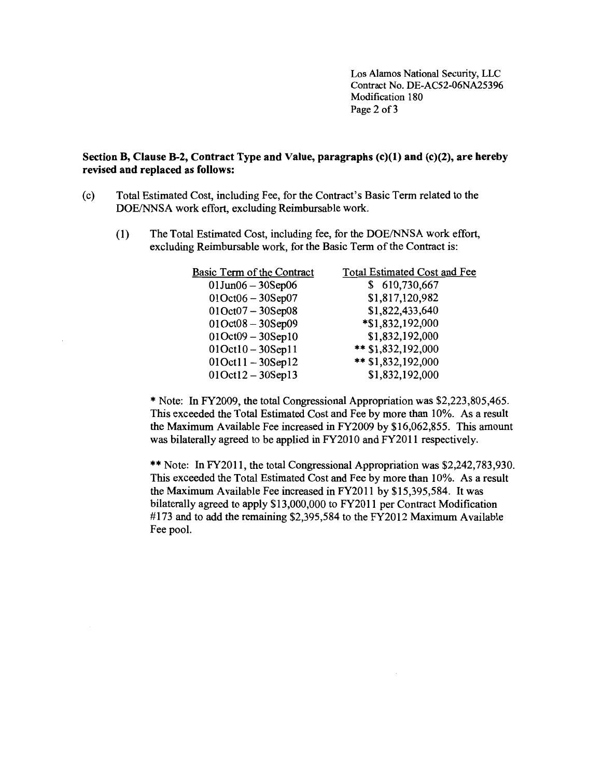Los Alamos National Security, LLC Contract No. DE-AC52-06NA25396 Modification 180 Page 2 of 3

## **Section B, Clause B-2, Contract Type and Value, paragraphs (c)(l) and (c)(2), are hereby revised and replaced as follows:**

- (c) Total Estimated Cost, including Fee, for the Contract's Basic Term related to the DOE/NNSA work effort, excluding Reimbursable work.
	- (1) The Total Estimated Cost, including fee, for the DOE/NNSA work effort, excluding Reimbursable work, for the Basic Term of the Contract is:

| Basic Term of the Contract  | <b>Total Estimated Cost and Fee</b> |
|-----------------------------|-------------------------------------|
| $01$ Jun $06 - 30$ Sep $06$ | 610,730,667                         |
| $01Oct06 - 30 Sep07$        | \$1,817,120,982                     |
| $01$ Oct $07 - 30$ Sep $08$ | \$1,822,433,640                     |
| $01Oct08 - 30 Sep09$        | *\$1,832,192,000                    |
| $01Oct09 - 30 Sept0$        | \$1,832,192,000                     |
| $010ct10 - 305ep11$         | ** \$1,832,192,000                  |
| $010ct11 - 305ep12$         | ** \$1,832,192,000                  |
| $010ct12 - 305ep13$         | \$1,832,192,000                     |
|                             |                                     |

\*Note: In FY2009, the total Congressional Appropriation was \$2,223,805,465. This exceeded the Total Estimated Cost and Fee by more than 10%. As a result the Maximum Available Fee increased in FY2009 by \$16,062,855. This amount was bilaterally agreed to be applied in FY2010 and FY2011 respectively.

\*\* Note: In FY2011, the total Congressional Appropriation was \$2,242,783,930. This exceeded the Total Estimated Cost and Fee by more than 10%. As a result the Maximum Available Fee increased in FY2011 by \$15,395,584. It was bilaterally agreed to apply \$13,000,000 to FY2011 per Contract Modification #173 and to add the remaining \$2,395,584 to the FY2012 Maximum Available Fee pool.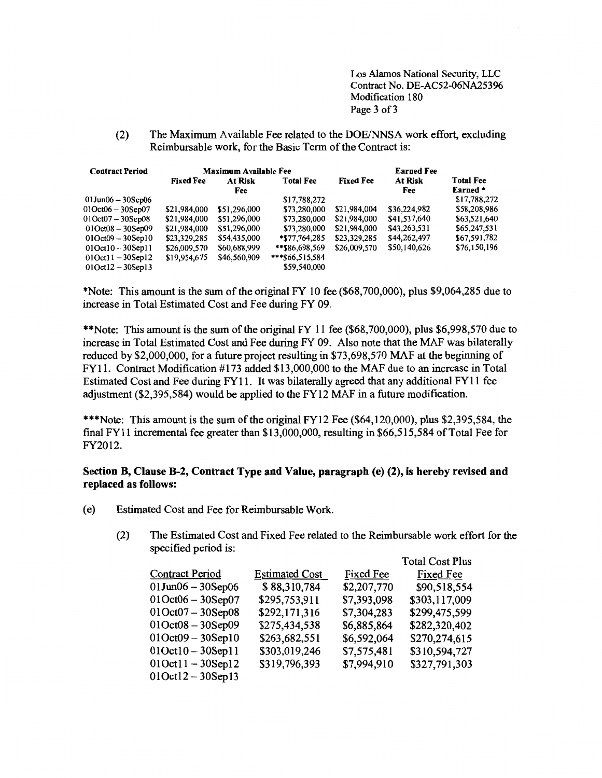Los Alamos National Security, LLC Contract No. DE-AC52-06NA25396 Modification 180 Page 3 of 3

Total Cost Plus

(2) The Maximum Available Fee related to the DOE/NNSA work effort, excluding Reimbursable work, for the Basic Term of the Contract is:

| <b>Contract Period</b>      | <b>Maximum Available Fee</b> |              |                  |                  | <b>Earned Fee</b> |                  |
|-----------------------------|------------------------------|--------------|------------------|------------------|-------------------|------------------|
|                             | At Risk<br><b>Fixed Fee</b>  |              | <b>Total Fee</b> | <b>Fixed Fee</b> | <b>At Risk</b>    | <b>Total Fee</b> |
|                             |                              | Fee          |                  |                  | Fee               | Earned *         |
| $01$ Jun $06 - 30$ Sep $06$ |                              |              | \$17,788,272     |                  |                   | \$17,788,272     |
| $01$ Oct $06 - 30$ Sep $07$ | \$21,984,000                 | \$51,296,000 | \$73,280,000     | \$21,984,004     | \$36,224,982      | \$58,208,986     |
| $01$ Oct $07 - 30$ Sep $08$ | \$21,984,000                 | \$51,296,000 | \$73,280,000     | \$21,984,000     | \$41,537,640      | \$63,521,640     |
| $01$ Oct $08 - 30$ Sep $09$ | \$21,984,000                 | \$51,296,000 | \$73,280,000     | \$21,984,000     | \$43,263,531      | \$65,247,531     |
| $01Oct09 - 30 Sept0$        | \$23,329,285                 | \$54,435,000 | $*$ \$77,764,285 | \$23,329,285     | \$44,262,497      | \$67,591,782     |
| $01$ Oct $10 - 30$ Sep $11$ | \$26,009,570                 | \$60,688,999 | **\$86,698,569   | \$26,009,570     | \$50,140,626      | \$76,150,196     |
| $01$ Oct $11 - 30$ Sep $12$ | \$19,954,675                 | \$46,560,909 | ***\$66,515,584  |                  |                   |                  |
| $01Oct12 - 30 Sep13$        |                              |              | \$59,540,000     |                  |                   |                  |

\*Note: This amount is the sum of the original FY 10 fee (\$68,700,000), plus \$9,064,285 due to increase in Total Estimated Cost and Fee during FY 09.

\*\*Note: This amount is the sum of the original FY 11 fee (\$68,700,000), plus \$6,998,570 due to increase in Total Estimated Cost and Fee during FY 09. Also note that the MAF was bilaterally reduced by \$2,000,000, for a future project resulting in \$73,698,570 MAF at the beginning of FY11. Contract Modification #173 added \$13,000,000 to the MAF due to an increase in Total Estimated Cost and Fee during FY11. It was bilaterally agreed that any additional FY11 fee adjustment (\$2,395,584) would be applied to the FY12 MAF in a future modification.

\*\*\*Note: This amount is the sum of the original FY12 Fee (\$64,120,000), plus \$2,395,584, the final FY11 incremental fee greater than \$13,000,000, resulting in \$66,515,584 of Total Fee for FY2012.

## Section B, Clause B-2, Contract Type and Value, paragraph (e) (2), is hereby revised and replaced as follows:

- (e) Estimated Cost and Fee for Reimbursable Work.
	- (2) The Estimated Cost and Fixed Fee related to the Reimbursable work effort for the specified period is:

| <b>Contract Period</b>      | <b>Estimated Cost</b> | Fixed Fee   | Fixed Fee     |
|-----------------------------|-----------------------|-------------|---------------|
| $01$ Jun $06 - 30$ Sep $06$ | \$88,310,784          | \$2,207,770 | \$90,518,554  |
| $01$ Oct $06 - 30$ Sep $07$ | \$295,753,911         | \$7,393,098 | \$303,117,009 |
| $01Oct07 - 30 Sep08$        | \$292,171,316         | \$7,304,283 | \$299,475,599 |
| $010ct08 - 30Sep09$         | \$275,434,538         | \$6,885,864 | \$282,320,402 |
| $010ct09 - 305ep10$         | \$263,682,551         | \$6,592,064 | \$270,274,615 |
| $010ct10 - 305ep11$         | \$303,019,246         | \$7,575,481 | \$310,594,727 |
| $010ct11 - 305ep12$         | \$319,796,393         | \$7,994,910 | \$327,791,303 |
| $010ct12 - 305ep13$         |                       |             |               |
|                             |                       |             |               |